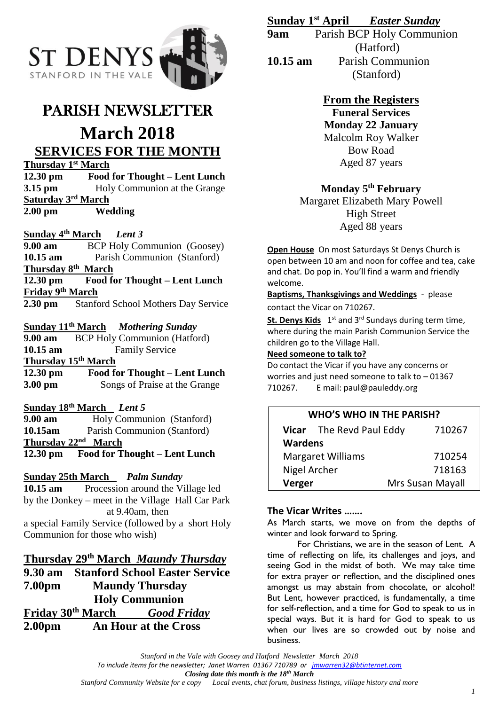

# PARISH NEWSLETTER

# **March 2018 SERVICES FOR THE MONTH**

**Thursday 1st March**

**12.30 pm Food for Thought – Lent Lunch 3.15 pm** Holy Communion at the Grange **Saturday 3rd March 2.00 pm Wedding**

## **Sunday 4th March** *Lent 3*

**9.00 am** BCP Holy Communion (Goosey) **10.15 am** Parish Communion (Stanford) **Thursday 8th March 12.30 pm Food for Thought – Lent Lunch Friday 9th March 2.30 pm** Stanford School Mothers Day Service

# **Sunday 11th March** *Mothering Sunday*

**9.00 am** BCP Holy Communion (Hatford) **10.15 am** Family Service **Thursday 15th March 12.30 pm Food for Thought – Lent Lunch 3.00 pm** Songs of Praise at the Grange

## **Sunday 18th March** *Lent 5*

**9.00 am** Holy Communion (Stanford) **10.15am** Parish Communion (Stanford) **Thursday 22nd March 12.30 pm Food for Thought – Lent Lunch**

### **Sunday 25th March** *Palm Sunday*

**10.15 am** Procession around the Village led by the Donkey – meet in the Village Hall Car Park at 9.40am, then

a special Family Service (followed by a short Holy Communion for those who wish)

## **Thursday 29th March** *Maundy Thursday*

**9.30 am Stanford School Easter Service 7.00pm Maundy Thursday Holy Communion Friday 30th March** *Good Friday* **2.00pm An Hour at the Cross**

# **Sunday 1st April** *Easter Sunday*

**9am** Parish BCP Holy Communion (Hatford) **10.15 am** Parish Communion (Stanford)

# **From the Registers**

**Funeral Services Monday 22 January** Malcolm Roy Walker Bow Road Aged 87 years

# **Monday 5th February**

Margaret Elizabeth Mary Powell High Street Aged 88 years

**Open House** On most Saturdays St Denys Church is open between 10 am and noon for coffee and tea, cake and chat. Do pop in. You'll find a warm and friendly welcome.

**Baptisms, Thanksgivings and Weddings** - please contact the Vicar on 710267.

St. Denys Kids 1<sup>st</sup> and 3<sup>rd</sup> Sundays during term time, where during the main Parish Communion Service the children go to the Village Hall.

### **Need someone to talk to?**

Do contact the Vicar if you have any concerns or worries and just need someone to talk to – 01367 710267. E mail: paul@pauleddy.org

# **WHO'S WHO IN THE PARISH? Vicar** The Revd Paul Eddy710267

| <b>Wardens</b>           |                  |
|--------------------------|------------------|
| <b>Margaret Williams</b> | 710254           |
| Nigel Archer             | 718163           |
| Verger                   | Mrs Susan Mayall |

### **The Vicar Writes …….**

As March starts, we move on from the depths of winter and look forward to Spring.

For Christians, we are in the season of Lent. A time of reflecting on life, its challenges and joys, and seeing God in the midst of both. We may take time for extra prayer or reflection, and the disciplined ones amongst us may abstain from chocolate, or alcohol! But Lent, however practiced, is fundamentally, a time for self-reflection, and a time for God to speak to us in special ways. But it is hard for God to speak to us when our lives are so crowded out by noise and business.

*Stanford in the Vale with Goosey and Hatford Newsletter March 2018 To include items for the newsletter; Janet Warren 01367 710789 or [jmwarren32@btinternet.com](mailto:jmwarren32@btinternet.com) Closing date this month is the 18th March Local events, chat forum, business listings, village history and more*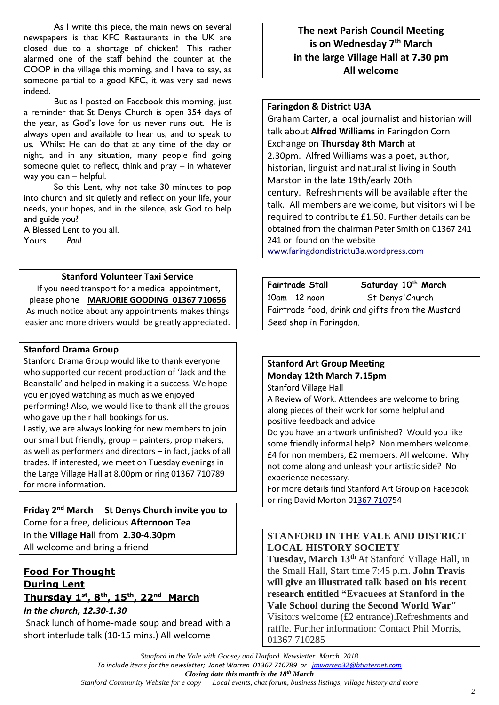As I write this piece, the main news on several newspapers is that KFC Restaurants in the UK are closed due to a shortage of chicken! This rather alarmed one of the staff behind the counter at the COOP in the village this morning, and I have to say, as someone partial to a good KFC, it was very sad news indeed.

But as I posted on Facebook this morning, just a reminder that St Denys Church is open 354 days of the year, as God's love for us never runs out. He is always open and available to hear us, and to speak to us. Whilst He can do that at any time of the day or night, and in any situation, many people find going someone quiet to reflect, think and pray – in whatever way you can – helpful.

So this Lent, why not take 30 minutes to pop into church and sit quietly and reflect on your life, your needs, your hopes, and in the silence, ask God to help and guide you?

A Blessed Lent to you all. Yours *Paul*

#### **Stanford Volunteer Taxi Service**

If you need transport for a medical appointment, please phone **MARJORIE GOODING 01367 710656** As much notice about any appointments makes things easier and more drivers would be greatly appreciated.

#### **Stanford Drama Group**

Stanford Drama Group would like to thank everyone who supported our recent production of 'Jack and the Beanstalk' and helped in making it a success. We hope you enjoyed watching as much as we enjoyed performing! Also, we would like to thank all the groups who gave up their hall bookings for us.

Lastly, we are always looking for new members to join our small but friendly, group – painters, prop makers, as well as performers and directors – in fact, jacks of all trades. If interested, we meet on Tuesday evenings in the Large Village Hall at 8.00pm or ring 01367 710789 for more information.

**Friday 2nd March St Denys Church invite you to** Come for a free, delicious **Afternoon Tea** in the **Village Hall** from **2.30-4.30pm** All welcome and bring a friend

## **Food For Thought During Lent Thursday 1 st, 8th, 15th, 22nd March**

*In the church, 12.30-1.30* Snack lunch of home-made soup and bread with a short interlude talk (10-15 mins.) All welcome

# **The next Parish Council Meeting is on Wednesday 7 th March in the large Village Hall at 7.30 pm All welcome**

### **Faringdon & District U3A**

Graham Carter, a local journalist and historian will talk about **Alfred Williams** in Faringdon Corn Exchange on **Thursday 8th March** at 2.30pm. Alfred Williams was a poet, author, historian, linguist and naturalist living in South Marston in the late 19th/early 20th century. Refreshments will be available after the talk. All members are welcome, but visitors will be required to contribute £1.50. Further details can be obtained from the chairman Peter Smith on 01367 241 241 or found on the website

[www.faringdondistrictu3a.wordpress.com](http://www.faringdondistrictu3a.wordpress.com/)

| <b>Fairtrade Stall</b>                           | Saturday 10 <sup>th</sup> March |
|--------------------------------------------------|---------------------------------|
| 10am - 12 noon                                   | St Denys' Church                |
| Fairtrade food, drink and gifts from the Mustard |                                 |
| Seed shop in Faringdon.                          |                                 |

## **Stanford Art Group Meeting**

**Monday 12th March 7.15pm**

Stanford Village Hall

A Review of Work. Attendees are welcome to bring along pieces of their work for some helpful and positive feedback and advice

Do you have an artwork unfinished? Would you like some friendly informal help? Non members welcome. £4 for non members, £2 members. All welcome. Why not come along and unleash your artistic side? No experience necessary.

For more details find Stanford Art Group on Facebook or ring David Morton 0[1367 71075](callto:+1367%207107)4

## **STANFORD IN THE VALE AND DISTRICT LOCAL HISTORY SOCIETY**

**Tuesday, March 13th** At Stanford Village Hall, in the Small Hall, Start time 7:45 p.m. **John Travis will give an illustrated talk based on his recent research entitled "Evacuees at Stanford in the Vale School during the Second World War"** Visitors welcome (£2 entrance).Refreshments and raffle. Further information: Contact Phil Morris, 01367 710285

*Stanford Community Website for e copy Local events, chat forum, business listings, village history and more*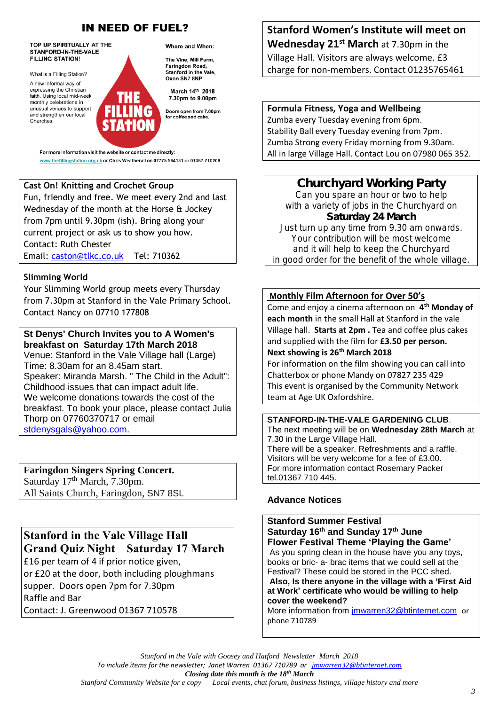# **IN NEED OF FUEL?**

TOP UP SPIRITUALLY AT THE STANFORD-IN-THE-VALE **FILLING STATION!** 

What is a Filling Station?

A new informal way of expressing the Christian faith. Using local mid-week monthly celebrations in unusual venues to support and strengthen our local Churches

Where and When:

The Vine, Mill Farm. Faringdon Road, Stanford in the Vale Oxon SN7 8NF

March 14th 2018 7.30pm to 9.00pm

Doors open from 7.00pm for coffee and cake

For more information visit the website or contact me directly: www.thefillingstation.org.uk or Chris Weatherall on 07775 564131 or 01367 710208

## **Cast On! Knitting and Crochet Group**

Fun, friendly and free. We meet every 2nd and last Wednesday of the month at the Horse & Jockey from 7pm until 9.30pm (ish). Bring along your current project or ask us to show you how. Contact: Ruth Chester Email: [caston@tlkc.co.uk](mailto:caston@tlkc.co.uk) Tel: 710362

### **Slimming World**

Your Slimming World group meets every Thursday from 7.30pm at Stanford in the Vale Primary School. Contact Nancy on 07710 177808

#### **St Denys' Church Invites you to A Women's breakfast on Saturday 17th March 2018**

Venue: Stanford in the Vale Village hall (Large) Time: 8.30am for an 8.45am start. Speaker: Miranda Marsh. " The Child in the Adult": Childhood issues that can impact adult life. We welcome donations towards the cost of the breakfast. To book your place, please contact Julia Thorp on 07760370717 or email [stdenysgals@yahoo.com.](mailto:stdenysgals@yahoo.com)

**Faringdon Singers Spring Concert.**  Saturday 17<sup>th</sup> March, 7.30pm. All Saints Church, Faringdon, SN7 8SL

# Stanford in the Vale Village Hall Grand Quiz Night Saturday 17 March

£16 per team of 4 if prior notice given, or £20 at the door, both including ploughmans supper. Doors open 7pm for 7.30pm Raffle and Bar

Contact: J. Greenwood 01367 710578

**Stanford Women's Institute will meet on Wednesday 21st March** at 7.30pm in the Village Hall. Visitors are always welcome. £3 charge for non-members. Contact 01235765461

**Formula Fitness, Yoga and Wellbeing** Zumba every Tuesday evening from 6pm. Stability Ball every Tuesday evening from 7pm. Zumba Strong every Friday morning from 9.30am. All in large Village Hall. Contact Lou on 07980 065 352.

**Churchyard Working Party Can you spare an hour or two to help with a variety of jobs in the Churchyard on Saturday 24 March Just turn up any time from 9.30 am onwards. Your contribution will be most welcome and it will help to keep the Churchyard in good order for the benefit of the whole village.**

### **Monthly Film Afternoon for Over 50's**

Come and enjoy a cinema afternoon on **4 th Monday of each month** in the small Hall at Stanford in the vale Village hall. **Starts at 2pm .** Tea and coffee plus cakes and supplied with the film for **£3.50 per person. Next showing is 26 th March 2018**

For information on the film showing you can call into Chatterbox or phone Mandy on 07827 235 429 This event is organised by the Community Network team at Age UK Oxfordshire.

**STANFORD-IN-THE-VALE GARDENING CLUB**. The next meeting will be on **Wednesday 28th March** at 7.30 in the Large Village Hall. There will be a speaker. Refreshments and a raffle. Visitors will be very welcome for a fee of £3.00. For more information contact Rosemary Packer tel.01367 710 445.

## **Advance Notices**

phone 710789

**Stanford Summer Festival Saturday 16th and Sunday 17th June Flower Festival Theme 'Playing the Game'** As you spring clean in the house have you any toys, books or bric- a- brac items that we could sell at the Festival? These could be stored in the PCC shed. **Also, Is there anyone in the village with a 'First Aid at Work' certificate who would be willing to help cover the weekend?** More information from [jmwarren32@btinternet.com](mailto:jmwarren32@btinternet.com) or

*Stanford in the Vale with Goosey and Hatford Newsletter March 2018 To include items for the newsletter; Janet Warren 01367 710789 or [jmwarren32@btinternet.com](mailto:jmwarren32@btinternet.com) Closing date this month is the 18th March Stanford Community Website for e copy Local events, chat forum, business listings, village history and more* 

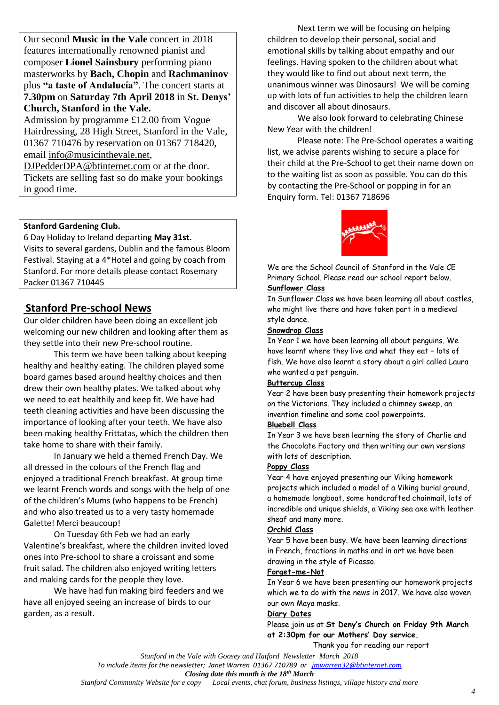Our second **Music in the Vale** concert in 2018 features internationally renowned pianist and composer **Lionel Sainsbury** performing piano masterworks by **Bach, Chopin** and **Rachmaninov**  plus **"a taste of Andalucía"**. The concert starts at **7.30pm** on **Saturday 7th April 2018** in **St. Denys' Church, Stanford in the Vale.**

Admission by programme £12.00 from Vogue Hairdressing, 28 High Street, Stanford in the Vale, 01367 710476 by reservation on 01367 718420, email [info@musicinthevale.net,](mailto:info@musicinthevale.net)

[DJPedderDPA@btinternet.com](mailto:DJPedderDPA@btinternet.com) or at the door. Tickets are selling fast so do make your bookings in good time.

#### **Stanford Gardening Club.**

6 Day Holiday to Ireland departing **May 31st.** Visits to several gardens, Dublin and the famous Bloom Festival. Staying at a 4\*Hotel and going by coach from Stanford. For more details please contact Rosemary Packer 01367 710445

# **Stanford Pre-school News**

Our older children have been doing an excellent job welcoming our new children and looking after them as they settle into their new Pre-school routine.

This term we have been talking about keeping healthy and healthy eating. The children played some board games based around healthy choices and then drew their own healthy plates. We talked about why we need to eat healthily and keep fit. We have had teeth cleaning activities and have been discussing the importance of looking after your teeth. We have also been making healthy Frittatas, which the children then take home to share with their family.

In January we held a themed French Day. We all dressed in the colours of the French flag and enjoyed a traditional French breakfast. At group time we learnt French words and songs with the help of one of the children's Mums (who happens to be French) and who also treated us to a very tasty homemade Galette! Merci beaucoup!

On Tuesday 6th Feb we had an early Valentine's breakfast, where the children invited loved ones into Pre-school to share a croissant and some fruit salad. The children also enjoyed writing letters and making cards for the people they love.

We have had fun making bird feeders and we have all enjoyed seeing an increase of birds to our garden, as a result.

Next term we will be focusing on helping children to develop their personal, social and emotional skills by talking about empathy and our feelings. Having spoken to the children about what they would like to find out about next term, the unanimous winner was Dinosaurs! We will be coming up with lots of fun activities to help the children learn and discover all about dinosaurs.

We also look forward to celebrating Chinese New Year with the children!

Please note: The Pre-School operates a waiting list, we advise parents wishing to secure a place for their child at the Pre-School to get their name down on to the waiting list as soon as possible. You can do this by contacting the Pre-School or popping in for an Enquiry form. Tel: 01367 718696



We are the School Council of Stanford in the Vale CE Primary School. Please read our school report below. **Sunflower Class**

In Sunflower Class we have been learning all about castles, who might live there and have taken part in a medieval style dance.

#### **Snowdrop Class**

In Year 1 we have been learning all about penguins. We have learnt where they live and what they eat – lots of fish. We have also learnt a story about a girl called Laura who wanted a pet penguin.

#### **Buttercup Class**

Year 2 have been busy presenting their homework projects on the Victorians. They included a chimney sweep, an invention timeline and some cool powerpoints.

#### **Bluebell Class**

In Year 3 we have been learning the story of Charlie and the Chocolate Factory and then writing our own versions with lots of description.

#### **Poppy Class**

Year 4 have enjoyed presenting our Viking homework projects which included a model of a Viking burial ground, a homemade longboat, some handcrafted chainmail, lots of incredible and unique shields, a Viking sea axe with leather sheaf and many more.

#### **Orchid Class**

Year 5 have been busy. We have been learning directions in French, fractions in maths and in art we have been drawing in the style of Picasso.

#### **Forget-me-Not**

In Year 6 we have been presenting our homework projects which we to do with the news in 2017. We have also woven our own Maya masks.

#### **Diary Dates**

Please join us at **St Deny's Church on Friday 9th March at 2:30pm for our Mothers' Day service.** 

Thank you for reading our report

*Stanford in the Vale with Goosey and Hatford Newsletter March 2018*

*Closing date this month is the 18th March*

*Stanford Community Website for e copy Local events, chat forum, business listings, village history and more*